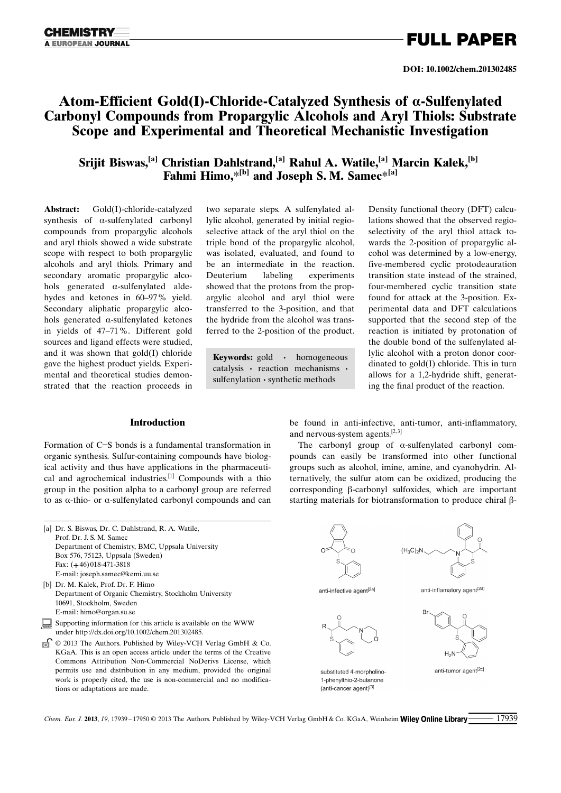### Atom-Efficient Gold(I)-Chloride-Catalyzed Synthesis of a-Sulfenylated Carbonyl Compounds from Propargylic Alcohols and Aryl Thiols: Substrate Scope and Experimental and Theoretical Mechanistic Investigation

Srijit Biswas,<sup>[a]</sup> Christian Dahlstrand,<sup>[a]</sup> Rahul A. Watile,<sup>[a]</sup> Marcin Kalek,<sup>[b]</sup> Fahmi Himo, $*$ <sup>[b]</sup> and Joseph S. M. Samec $*$ <sup>[a]</sup>

Abstract: Gold(I)-chloride-catalyzed synthesis of  $\alpha$ -sulfenylated carbonyl compounds from propargylic alcohols and aryl thiols showed a wide substrate scope with respect to both propargylic alcohols and aryl thiols. Primary and secondary aromatic propargylic alcohols generated  $\alpha$ -sulfenylated aldehydes and ketones in 60–97% yield. Secondary aliphatic propargylic alcohols generated  $\alpha$ -sulfenylated ketones in yields of 47–71%. Different gold sources and ligand effects were studied, and it was shown that gold(I) chloride gave the highest product yields. Experimental and theoretical studies demonstrated that the reaction proceeds in two separate steps. A sulfenylated allylic alcohol, generated by initial regioselective attack of the aryl thiol on the triple bond of the propargylic alcohol, was isolated, evaluated, and found to be an intermediate in the reaction. Deuterium labeling experiments showed that the protons from the propargylic alcohol and aryl thiol were transferred to the 3-position, and that the hydride from the alcohol was transferred to the 2-position of the product.

Keywords: gold · homogeneous catalysis · reaction mechanisms · sulfenylation · synthetic methods

Density functional theory (DFT) calculations showed that the observed regioselectivity of the aryl thiol attack towards the 2-position of propargylic alcohol was determined by a low-energy, five-membered cyclic protodeauration transition state instead of the strained, four-membered cyclic transition state found for attack at the 3-position. Experimental data and DFT calculations supported that the second step of the reaction is initiated by protonation of the double bond of the sulfenylated allylic alcohol with a proton donor coordinated to gold(I) chloride. This in turn allows for a 1,2-hydride shift, generating the final product of the reaction.

### Introduction

Formation of C-S bonds is a fundamental transformation in organic synthesis. Sulfur-containing compounds have biological activity and thus have applications in the pharmaceutical and agrochemical industries.[1] Compounds with a thio group in the position alpha to a carbonyl group are referred to as a-thio- or a-sulfenylated carbonyl compounds and can be found in anti-infective, anti-tumor, anti-inflammatory, and nervous-system agents. $[2,3]$ 

The carbonyl group of  $\alpha$ -sulfenylated carbonyl compounds can easily be transformed into other functional groups such as alcohol, imine, amine, and cyanohydrin. Alternatively, the sulfur atom can be oxidized, producing the corresponding  $\beta$ -carbonyl sulfoxides, which are important starting materials for biotransformation to produce chiral  $\beta$ -

| [a] Dr. S. Biswas, Dr. C. Dahlstrand, R. A. Watile, |  |  |  |
|-----------------------------------------------------|--|--|--|
| Prof. Dr. J. S. M. Samec                            |  |  |  |
| Department of Chemistry, BMC, Uppsala University    |  |  |  |
| Box 576, 75123, Uppsala (Sweden)                    |  |  |  |
| Fax: $(+46)$ 018-471-3818                           |  |  |  |
| E-mail: joseph.samec@kemi.uu.se                     |  |  |  |
| [b] Dr. M. Kalek, Prof. Dr. F. Himo                 |  |  |  |
| 0.111777                                            |  |  |  |

- Department of Organic Chemistry, Stockholm University 10691, Stockholm, Sweden E-mail: himo@organ.su.se
- Supporting information for this article is available on the WWW under http://dx.doi.org/10.1002/chem.201302485.
- © 2013 The Authors. Published by Wiley-VCH Verlag GmbH & Co. KGaA. This is an open access article under the terms of the Creative Commons Attribution Non-Commercial NoDerivs License, which permits use and distribution in any medium, provided the original work is properly cited, the use is non-commercial and no modifications or adaptations are made.



Chem. Eur. J. 2013, 19, 17939-17950  $\odot$  2013 The Authors. Published by Wiley-VCH Verlag GmbH & Co. KGaA, Weinheim **Wiley Online Library**  $\qquad 17939$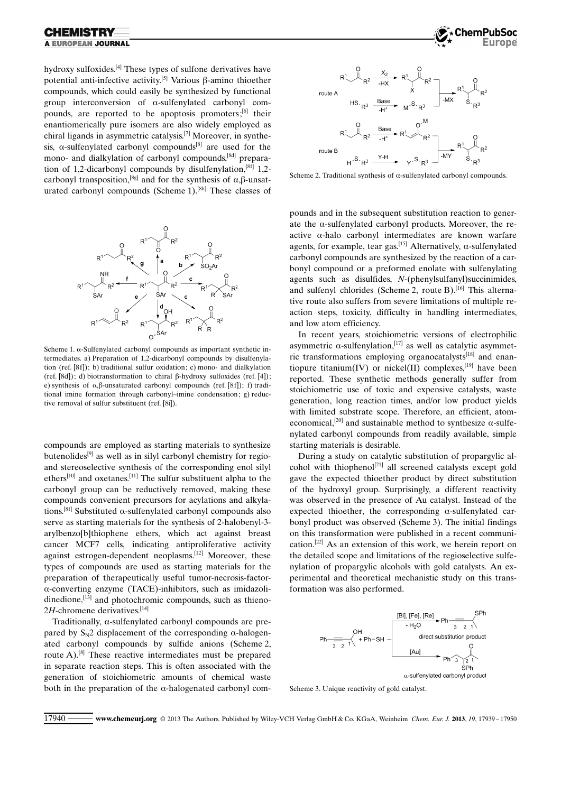hydroxy sulfoxides.<sup>[4]</sup> These types of sulfone derivatives have potential anti-infective activity.<sup>[5]</sup> Various  $\beta$ -amino thioether compounds, which could easily be synthesized by functional group interconversion of a-sulfenylated carbonyl compounds, are reported to be apoptosis promoters;<sup>[6]</sup> their enantiomerically pure isomers are also widely employed as chiral ligands in asymmetric catalysis.[7] Moreover, in synthesis,  $\alpha$ -sulfenylated carbonyl compounds<sup>[8]</sup> are used for the mono- and dialkylation of carbonyl compounds,<sup>[8d]</sup> preparation of 1,2-dicarbonyl compounds by disulfenylation,<sup>[8f]</sup> 1,2carbonyl transposition,<sup>[8g]</sup> and for the synthesis of  $\alpha$ , $\beta$ -unsaturated carbonyl compounds (Scheme 1).<sup>[8h]</sup> These classes of



Scheme 1.  $\alpha$ -Sulfenylated carbonyl compounds as important synthetic intermediates. a) Preparation of 1,2-dicarbonyl compounds by disulfenylation (ref.  $[8f]$ ); b) traditional sulfur oxidation; c) mono- and dialkylation (ref. [8d]); d) biotransformation to chiral  $\beta$ -hydroxy sulfoxides (ref. [4]); e) synthesis of  $\alpha$ , $\beta$ -unsaturated carbonyl compounds (ref. [8f]); f) traditional imine formation through carbonyl–imine condensation; g) reductive removal of sulfur substituent (ref. [8i]).

compounds are employed as starting materials to synthesize butenolides<sup>[9]</sup> as well as in silyl carbonyl chemistry for regioand stereoselective synthesis of the corresponding enol silyl ethers[10] and oxetanes.[11] The sulfur substituent alpha to the carbonyl group can be reductively removed, making these compounds convenient precursors for acylations and alkylations.<sup>[8f]</sup> Substituted  $\alpha$ -sulfenylated carbonyl compounds also serve as starting materials for the synthesis of 2-halobenyl-3 arylbenzo[b]thiophene ethers, which act against breast cancer MCF7 cells, indicating antiproliferative activity against estrogen-dependent neoplasms.[12] Moreover, these types of compounds are used as starting materials for the preparation of therapeutically useful tumor-necrosis-factora-converting enzyme (TACE)-inhibitors, such as imidazolidinedione, $^{[13]}$  and photochromic compounds, such as thieno- $2H$ -chromene derivatives.<sup>[14]</sup>

Traditionally,  $\alpha$ -sulfenylated carbonyl compounds are prepared by  $S_N2$  displacement of the corresponding  $\alpha$ -halogenated carbonyl compounds by sulfide anions (Scheme 2, route A).[8] These reactive intermediates must be prepared in separate reaction steps. This is often associated with the generation of stoichiometric amounts of chemical waste both in the preparation of the  $\alpha$ -halogenated carbonyl com-





Scheme 2. Traditional synthesis of  $\alpha$ -sulfenylated carbonyl compounds.

pounds and in the subsequent substitution reaction to generate the  $\alpha$ -sulfenylated carbonyl products. Moreover, the reactive  $\alpha$ -halo carbonyl intermediates are known warfare agents, for example, tear gas.<sup>[15]</sup> Alternatively,  $\alpha$ -sulfenylated carbonyl compounds are synthesized by the reaction of a carbonyl compound or a preformed enolate with sulfenylating agents such as disulfides, N-(phenylsulfanyl)succinimides, and sulfenyl chlorides (Scheme 2, route B).<sup>[16]</sup> This alternative route also suffers from severe limitations of multiple reaction steps, toxicity, difficulty in handling intermediates, and low atom efficiency.

In recent years, stoichiometric versions of electrophilic asymmetric  $\alpha$ -sulfenylation,<sup>[17]</sup> as well as catalytic asymmetric transformations employing organocatalysts<sup>[18]</sup> and enantiopure titanium(IV) or nickel(II) complexes.<sup>[19]</sup> have been reported. These synthetic methods generally suffer from stoichiometric use of toxic and expensive catalysts, waste generation, long reaction times, and/or low product yields with limited substrate scope. Therefore, an efficient, atomeconomical,<sup>[20]</sup> and sustainable method to synthesize  $\alpha$ -sulfenylated carbonyl compounds from readily available, simple starting materials is desirable.

During a study on catalytic substitution of propargylic alcohol with thiophenol<sup>[21]</sup> all screened catalysts except gold gave the expected thioether product by direct substitution of the hydroxyl group. Surprisingly, a different reactivity was observed in the presence of Au catalyst. Instead of the expected thioether, the corresponding  $\alpha$ -sulfenylated carbonyl product was observed (Scheme 3). The initial findings on this transformation were published in a recent communication.[22] As an extension of this work, we herein report on the detailed scope and limitations of the regioselective sulfenylation of propargylic alcohols with gold catalysts. An experimental and theoretical mechanistic study on this transformation was also performed.



Scheme 3. Unique reactivity of gold catalyst.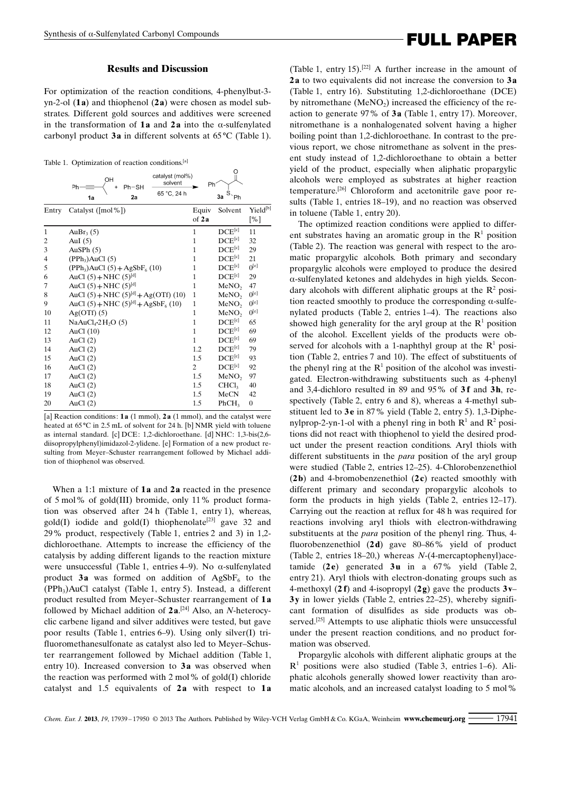### Results and Discussion

For optimization of the reaction conditions, 4-phenylbut-3 yn-2-ol  $(1a)$  and thiophenol  $(2a)$  were chosen as model substrates. Different gold sources and additives were screened in the transformation of 1a and 2a into the  $\alpha$ -sulfenylated carbonyl product  $3a$  in different solvents at 65 $\rm{^{\circ}C}$  (Table 1).

Table 1. Optimization of reaction conditions.[a]

|                | catalyst (mol%)<br>OH<br>solvent<br>$Ph-SH$<br>Ph<br>65 °C. 24 h<br>2a<br>1a | Ph             | Ô<br>$S_{\text{p}}$<br>3a |                             |
|----------------|------------------------------------------------------------------------------|----------------|---------------------------|-----------------------------|
| Entry          | Catalyst ([mol%])                                                            | Equiv<br>of 2a | Solvent                   | Yield <sup>[b]</sup><br>[%] |
| 1              | Au $Br3(5)$                                                                  | $\mathbf{1}$   | $DCE^{[c]}$               | 11                          |
| 2              | AuI $(5)$                                                                    | $\mathbf{1}$   | $DCE^{[c]}$               | 32                          |
| 3              | AuSPh $(5)$                                                                  | 1              | $DCE^{[c]}$               | 29                          |
| $\overline{4}$ | (PPh <sub>3</sub> )AuCl(5)                                                   | 1              | $DCE^{[c]}$               | 21                          |
| 5              | $(PPh_3)AuCl (5) + AgSbF_6 (10)$                                             | 1              | $DCE^{[c]}$               | $0^{[e]}$                   |
| 6              | AuCl $(5) + \text{NHC } (5)^{[d]}$                                           | 1              | $DCE^{[c]}$               | 29                          |
| 7              | AuCl $(5) + \text{NHC } (5)^{[d]}$                                           | 1              | MeNO <sub>2</sub>         | 47                          |
| 8              | AuCl (5) + NHC (5) <sup>[d]</sup> + Ag(OTf) (10)                             | $\mathbf{1}$   | MeNO <sub>2</sub>         | $0^{[e]}$                   |
| 9              | AuCl $(5) + \text{NHC } (5)^{[d]} + \text{AgSbF}_6 (10)$                     | $\mathbf{1}$   | MeNO <sub>2</sub>         | $0^{[e]}$                   |
| 10             | $Ag(OTf)$ (5)                                                                | 1              | MeNO <sub>2</sub>         | $0^{[e]}$                   |
| 11             | NaAu $Cl_4$ -2 $H_2O(5)$                                                     | 1              | $DCE^{[c]}$               | 65                          |
| 12             | AuCl $(10)$                                                                  | $\mathbf{1}$   | $DCE^{[c]}$               | 69                          |
| 13             | AuCl $(2)$                                                                   | $\mathbf{1}$   | $DCE^{[c]}$               | 69                          |
| 14             | AuCl $(2)$                                                                   | 1.2            | $DCE^{[c]}$               | 79                          |
| 15             | AuCl $(2)$                                                                   | 1.5            | $DCE^{[c]}$               | 93                          |
| 16             | AuCl $(2)$                                                                   | 2              | $DCE^{[c]}$               | 92                          |
| 17             | AuCl $(2)$                                                                   | 1.5            | MeNO <sub>2</sub>         | 97                          |
| 18             | AuCl $(2)$                                                                   | 1.5            | CHCl <sub>3</sub>         | 40                          |
| 19             | AuCl $(2)$                                                                   | 1.5            | MeCN                      | 42                          |
| 20             | AuCl $(2)$                                                                   | 1.5            | PhCH <sub>3</sub>         | 0                           |

[a] Reaction conditions: 1a (1 mmol), 2a (1 mmol), and the catalyst were heated at 65 °C in 2.5 mL of solvent for 24 h. [b] NMR yield with toluene as internal standard. [c] DCE: 1,2-dichloroethane. [d] NHC: 1,3-bis(2,6 diisopropylphenyl)imidazol-2-ylidene. [e] Formation of a new product resulting from Meyer–Schuster rearrangement followed by Michael addition of thiophenol was observed.

When a 1:1 mixture of  $1a$  and  $2a$  reacted in the presence of 5 mol% of gold(III) bromide, only 11% product formation was observed after 24 h (Table 1, entry 1), whereas, gold(I) iodide and gold(I) thiophenolate<sup>[23]</sup> gave 32 and 29% product, respectively (Table 1, entries 2 and 3) in 1,2 dichloroethane. Attempts to increase the efficiency of the catalysis by adding different ligands to the reaction mixture were unsuccessful (Table 1, entries 4–9). No  $\alpha$ -sulfenylated product 3a was formed on addition of AgSbF<sub>6</sub> to the  $(PPh<sub>3</sub>)AuCl$  catalyst (Table 1, entry 5). Instead, a different product resulted from Meyer–Schuster rearrangement of 1 a followed by Michael addition of  $2a$ .<sup>[24]</sup> Also, an *N*-heterocyclic carbene ligand and silver additives were tested, but gave poor results (Table 1, entries 6–9). Using only silver(I) trifluoromethanesulfonate as catalyst also led to Meyer–Schuster rearrangement followed by Michael addition (Table 1, entry 10). Increased conversion to  $3a$  was observed when the reaction was performed with  $2 \text{ mol } \%$  of gold(I) chloride catalyst and  $1.5$  equivalents of  $2a$  with respect to  $1a$ 

# Synthesis of a-Sulfenylated Carbonyl Compounds<br> **FULL PAPER**

(Table 1, entry 15).<sup>[22]</sup> A further increase in the amount of 2a to two equivalents did not increase the conversion to 3a (Table 1, entry 16). Substituting 1,2-dichloroethane (DCE) by nitromethane  $(MeNO<sub>2</sub>)$  increased the efficiency of the reaction to generate  $97\%$  of  $3a$  (Table 1, entry 17). Moreover, nitromethane is a nonhalogenated solvent having a higher boiling point than 1,2-dichloroethane. In contrast to the previous report, we chose nitromethane as solvent in the present study instead of 1,2-dichloroethane to obtain a better yield of the product, especially when aliphatic propargylic alcohols were employed as substrates at higher reaction temperature.[26] Chloroform and acetonitrile gave poor results (Table 1, entries 18–19), and no reaction was observed in toluene (Table 1, entry 20).

The optimized reaction conditions were applied to different substrates having an aromatic group in the  $\mathbb{R}^1$  position (Table 2). The reaction was general with respect to the aromatic propargylic alcohols. Both primary and secondary propargylic alcohols were employed to produce the desired a-sulfenylated ketones and aldehydes in high yields. Secondary alcohols with different aliphatic groups at the  $\mathbb{R}^2$  position reacted smoothly to produce the corresponding  $\alpha$ -sulfenylated products (Table 2, entries 1–4). The reactions also showed high generality for the aryl group at the  $R<sup>1</sup>$  position of the alcohol. Excellent yields of the products were observed for alcohols with a 1-naphthyl group at the  $R<sup>1</sup>$  position (Table 2, entries 7 and 10). The effect of substituents of the phenyl ring at the  $R<sup>1</sup>$  position of the alcohol was investigated. Electron-withdrawing substituents such as 4-phenyl and 3,4-dichloro resulted in 89 and 95% of  $3f$  and  $3h$ , respectively (Table 2, entry 6 and 8), whereas a 4-methyl substituent led to 3e in 87% yield (Table 2, entry 5). 1,3-Diphenylprop-2-yn-1-ol with a phenyl ring in both  $\mathbb{R}^1$  and  $\mathbb{R}^2$  positions did not react with thiophenol to yield the desired product under the present reaction conditions. Aryl thiols with different substituents in the *para* position of the aryl group were studied (Table 2, entries 12–25). 4-Chlorobenzenethiol  $(2b)$  and 4-bromobenzenethiol  $(2c)$  reacted smoothly with different primary and secondary propargylic alcohols to form the products in high yields (Table 2, entries 12–17). Carrying out the reaction at reflux for 48 h was required for reactions involving aryl thiols with electron-withdrawing substituents at the *para* position of the phenyl ring. Thus, 4fluorobenzenethiol  $(2 d)$  gave 80–86% yield of product (Table 2, entries 18–20,) whereas N-(4-mercaptophenyl)acetamide  $(2e)$  generated  $3u$  in a 67% yield (Table 2, entry 21). Aryl thiols with electron-donating groups such as 4-methoxyl (2 f) and 4-isopropyl (2g) gave the products  $3v-$ 3y in lower yields (Table 2, entries 22–25), whereby significant formation of disulfides as side products was observed.<sup>[25]</sup> Attempts to use aliphatic thiols were unsuccessful under the present reaction conditions, and no product formation was observed.

Propargylic alcohols with different aliphatic groups at the  $R<sup>1</sup>$  positions were also studied (Table 3, entries 1–6). Aliphatic alcohols generally showed lower reactivity than aromatic alcohols, and an increased catalyst loading to 5 mol%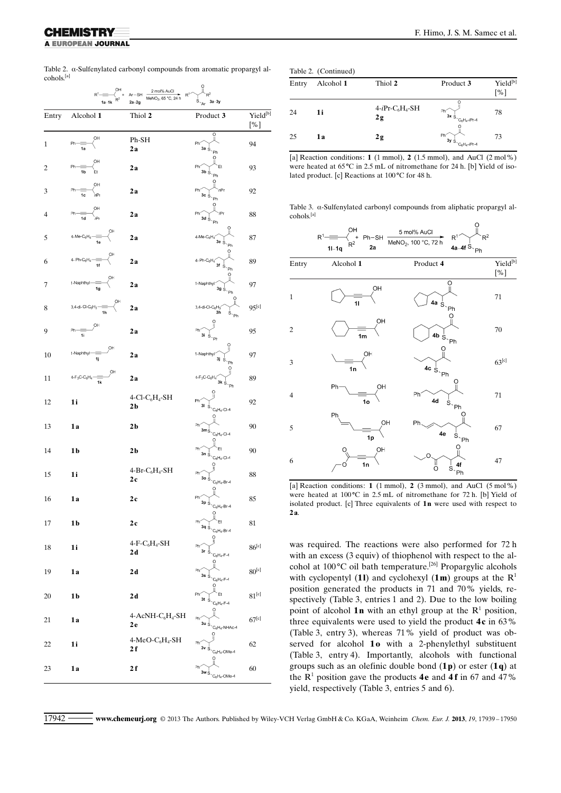A EUROPEAN JOURNAL

Table 2.  $\alpha$ -Sulfenylated carbonyl compounds from aromatic propargyl alcohols.[a]  $\circ$ 

| OН<br>2 mol% AuCl<br>$R^1$<br>$R^2$<br>$Ar-SH$<br>R <sup>1</sup><br>$\frac{1}{R^2}$ +<br>MeNO <sub>2</sub> , 65 °C, 24 h<br>$s_{a}$ $a - 3y$<br>$1a-1k$<br>$2a-2g$ |                                               |                                                  |                                                                                                                                                |                             |
|--------------------------------------------------------------------------------------------------------------------------------------------------------------------|-----------------------------------------------|--------------------------------------------------|------------------------------------------------------------------------------------------------------------------------------------------------|-----------------------------|
| Entry                                                                                                                                                              | Alcohol 1                                     | Thiol 2                                          | Product 3                                                                                                                                      | Yield <sup>[b]</sup><br>[%] |
| $\mathbf{1}$                                                                                                                                                       | OН<br>Ph<br>1a                                | Ph-SH<br>2a                                      | O<br>Ph'<br>3a $\dot{s}_{\gamma}$                                                                                                              | 94                          |
| 2                                                                                                                                                                  | ОH<br>Ph<br>์ Et<br>1b                        | 2a                                               | Ph'<br>$3b\dot{S}$<br>Ph                                                                                                                       | 93                          |
| 3                                                                                                                                                                  | OH<br>Ph<br>'nPr<br>1c                        | 2а                                               | Ph'<br>$3cS$ .<br>Ph                                                                                                                           | 92                          |
| 4                                                                                                                                                                  | OH<br>.<br>iPr<br>1d                          | 2а                                               | Ph <sup>-</sup><br>3dS                                                                                                                         | 88                          |
| 5                                                                                                                                                                  | $4-Me-C_6H_4$                                 | 2a                                               | $4$ -Me-C $_6$ H <sub>4</sub><br>3e $\overset{!}{\mathbb{S}}_{\gamma\mathsf{Ph}}$                                                              | 87                          |
| 6                                                                                                                                                                  | ÖН<br>4- Ph- $C_6H_4$ -                       | 2а                                               | 4-Ph- $C_6H_4$<br>$3f\ \frac{1}{S}$<br>Ph                                                                                                      | 89                          |
| 7                                                                                                                                                                  | 1-Naphthyl-<br>1g                             | 2а                                               | 1-Naphthyl <sup>-</sup><br>$3g\stackrel{!}{\otimes}_{\mathbb{Z}_{\mathsf{P}^{\mathsf{h}}}}$                                                    | 97                          |
| 8                                                                                                                                                                  | OН<br>3,4-di-Cl-C $_6$ H <sub>3</sub> -<br>1h | 2а                                               | $3,4$ -di-Cl-C $_6$ H <sub>3</sub><br>3h<br>$s_{\text{p}_h}$                                                                                   | $95^{[c]}$                  |
| 9                                                                                                                                                                  | OH<br>Ph<br>1i                                | 2a                                               | Ph<br>3i                                                                                                                                       | 95                          |
| 10                                                                                                                                                                 | ÓН<br>1-Naphthyl-<br>1j                       | 2a                                               | 1-Naphthyl<br>$3j \text{ s}$<br>Ph                                                                                                             | 97                          |
| 11                                                                                                                                                                 | OH<br>$4-F_3C-C_6H_4$<br>1k                   | 2 a                                              | $4-F_3C-C_6H_4'$<br>3kS                                                                                                                        | 89                          |
| 12                                                                                                                                                                 | 1i                                            | $4$ -Cl-C <sub>6</sub> H <sub>4</sub> -SH<br>2 b | Ph<br>31<br>$C_6H_4$ -Cl-4                                                                                                                     | 92                          |
| 13                                                                                                                                                                 | 1a                                            | 2 b                                              | Ph'<br>3m <sub>S</sub><br>$C_6H_4$ -Cl-4                                                                                                       | 90                          |
| 14                                                                                                                                                                 | 1b                                            | 2 b                                              | Ph <sup>-</sup><br>Et<br>$3n_S$<br>$C_6H_4$ -Cl-4                                                                                              | 90                          |
| 15                                                                                                                                                                 | 1i                                            | $4-Br-C6H4-SH$<br>2 c                            | Ph'<br>$30\,$ $\rm s$<br>$C_6H_4$ -Br-4                                                                                                        | 88                          |
| 16                                                                                                                                                                 | 1a                                            | 2 c                                              | Ph <sup>2</sup><br>$\mathbf{3p}\overset{\text{\tiny{l}}}{\mathbb{S}}\text{-}\mathbb{C}_{6}\mathsf{H}_{4}\text{-}\mathsf{Br}\text{-}\mathsf{4}$ | 85                          |
| 17                                                                                                                                                                 | 1 <sub>b</sub>                                | 2c                                               | Ō<br>Ph<br>$3q_S$<br>$C_6H_4$ -Br-4                                                                                                            | 81                          |
| 18                                                                                                                                                                 | 1i                                            | $4-F-C6H4-SH$<br>2 d                             | ဂူ<br>Ph<br>3r<br>$C_6H_4$ -F-4                                                                                                                | $86^{[c]}$                  |
| 19                                                                                                                                                                 | 1a                                            | 2 d                                              | Ph<br>3s<br>$C_6H_4-F-4$                                                                                                                       | $80^{[c]}$                  |
| 20                                                                                                                                                                 | 1b                                            | 2 d                                              | O<br>Ph<br>3t<br>$C_6H_4$ -F-4                                                                                                                 | $81^{[c]}$                  |
| 21                                                                                                                                                                 | 1 a                                           | 4-AcNH-C <sub>6</sub> H <sub>4</sub> -SH<br>2 e  | Ω<br>Ph<br>3u ġ<br>$C_6H_4$ -NHAc-4                                                                                                            | $67^{[c]}$                  |
| 22                                                                                                                                                                 | 1i                                            | $4-MeO-C6H4-SH$<br>2 f                           | Ph<br>3v <sub>s</sub><br>$C_6H_4$ -OMe-4                                                                                                       | 62                          |
| 23                                                                                                                                                                 | 1a                                            | 2 f                                              | Ph<br>3w s<br>$C_6H_4$ -OMe-4                                                                                                                  | 60                          |

|  | Table 2. (Continued) |
|--|----------------------|
|--|----------------------|

| ravit $\mathcal{L}$ , (Community) |           |                       |                                                   |                 |
|-----------------------------------|-----------|-----------------------|---------------------------------------------------|-----------------|
| Entry                             | Alcohol 1 | Thiol 2               | Product 3                                         | Yield[b]<br>[%] |
| 24                                | 1i        | $4-iPr-C6H4-SH$<br>2g | Ph<br>$3x$ S <sub>-C6</sub> H <sub>4</sub> -/Pr-4 | 78              |
| 25                                | 1a        | 2g                    | Ph<br>$3y_S$<br>$C_6H_4$ -iPr-4                   | 73              |

[a] Reaction conditions: 1 (1 mmol), 2 (1.5 mmol), and AuCl  $(2 \text{ mol}\%)$ were heated at  $65^{\circ}$ C in 2.5 mL of nitromethane for 24 h. [b] Yield of isolated product. [c] Reactions at  $100^{\circ}$ C for 48 h.

Table 3. a-Sulfenylated carbonyl compounds from aliphatic propargyl alcohols.[a]



[a] Reaction conditions: 1 (1 mmol), 2 (3 mmol), and AuCl (5 mol%) were heated at  $100^{\circ}$ C in  $2.5$  mL of nitromethane for 72 h. [b] Yield of isolated product. [c] Three equivalents of 1n were used with respect to 2a.

was required. The reactions were also performed for 72 h with an excess (3 equiv) of thiophenol with respect to the alcohol at 100 °C oil bath temperature.<sup>[26]</sup> Propargylic alcohols with cyclopentyl (1l) and cyclohexyl (1m) groups at the  $R<sup>1</sup>$ position generated the products in 71 and 70% yields, respectively (Table 3, entries 1 and 2). Due to the low boiling point of alcohol 1n with an ethyl group at the  $R<sup>1</sup>$  position, three equivalents were used to yield the product  $4c$  in 63% (Table 3, entry 3), whereas 71% yield of product was observed for alcohol 10 with a 2-phenylethyl substituent (Table 3, entry 4). Importantly, alcohols with functional groups such as an olefinic double bond  $(1\mathbf{p})$  or ester  $(1\mathbf{q})$  at the  $\mathbb{R}^1$  position gave the products **4e** and **4f** in 67 and 47% yield, respectively (Table 3, entries 5 and 6).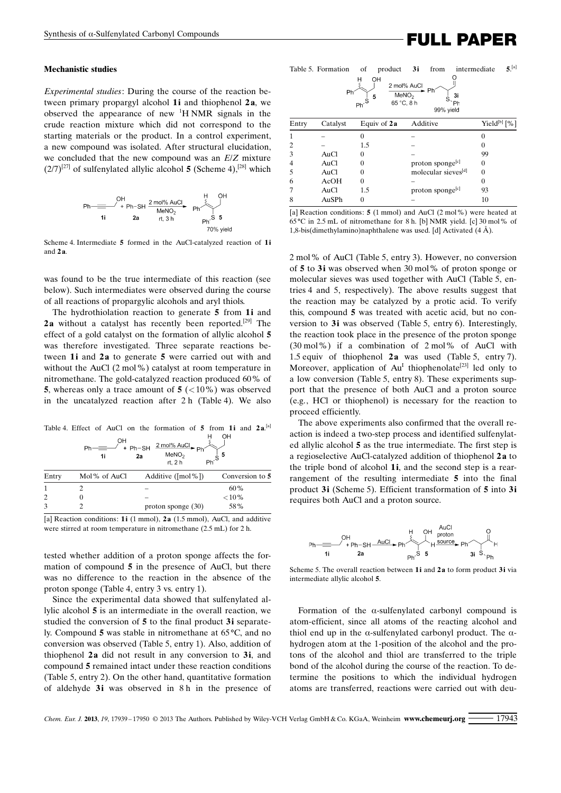# Synthesis of a-Sulfenylated Carbonyl Compounds<br>
FULL PAPER

#### Mechanistic studies

Experimental studies: During the course of the reaction between primary propargyl alcohol  $1$  i and thiophenol  $2a$ , we observed the appearance of new <sup>1</sup> H NMR signals in the crude reaction mixture which did not correspond to the starting materials or the product. In a control experiment, a new compound was isolated. After structural elucidation, we concluded that the new compound was an E/Z mixture  $(2/7)^{[27]}$  of sulfenylated allylic alcohol 5 (Scheme 4),<sup>[28]</sup> which



Scheme 4. Intermediate 5 formed in the AuCl-catalyzed reaction of 1i and  $2a$ .

was found to be the true intermediate of this reaction (see below). Such intermediates were observed during the course of all reactions of propargylic alcohols and aryl thiols.

The hydrothiolation reaction to generate 5 from 1i and 2a without a catalyst has recently been reported.<sup>[29]</sup> The effect of a gold catalyst on the formation of allylic alcohol 5 was therefore investigated. Three separate reactions between 1i and 2a to generate 5 were carried out with and without the AuCl (2 mol%) catalyst at room temperature in nitromethane. The gold-catalyzed reaction produced 60% of 5, whereas only a trace amount of  $5$  ( $\lt 10\%$ ) was observed in the uncatalyzed reaction after 2 h (Table 4). We also

Table 4. Effect of AuCl on the formation of 5 from 1i and  $2a$ .<sup>[a]</sup>

|               | OН<br>1i     | $2 \text{ mol% AuCl} \rightarrow \text{Ph}$<br>$+ Ph-SH$<br>MeNO <sub>2</sub><br>2a<br>rt. 2 h | $Ph^{\prime}$ s |
|---------------|--------------|------------------------------------------------------------------------------------------------|-----------------|
| Entry         | Mol% of AuCl | Additive ( $[mol\%]$ )                                                                         | Conversion to 5 |
|               |              |                                                                                                | 60%             |
| 2             |              |                                                                                                | ${<}10%$        |
| $\mathcal{F}$ |              | proton sponge $(30)$                                                                           | 58%             |

[a] Reaction conditions: 1i (1 mmol), 2a (1.5 mmol), AuCl, and additive were stirred at room temperature in nitromethane (2.5 mL) for 2 h.

tested whether addition of a proton sponge affects the formation of compound 5 in the presence of AuCl, but there was no difference to the reaction in the absence of the proton sponge (Table 4, entry 3 vs. entry 1).

Since the experimental data showed that sulfenylated allylic alcohol 5 is an intermediate in the overall reaction, we studied the conversion of 5 to the final product 3i separately. Compound 5 was stable in nitromethane at 65°C, and no conversion was observed (Table 5, entry 1). Also, addition of thiophenol  $2a$  did not result in any conversion to  $3i$ , and compound 5 remained intact under these reaction conditions (Table 5, entry 2). On the other hand, quantitative formation of aldehyde 3i was observed in 8 h in the presence of

|       | Table 5. Formation<br>Ph | οf<br>product<br>OH<br>5 | 3i<br>from<br>2 mol% AuCl<br>Ph<br>MeNO <sub>2</sub><br>3i<br>65 °C, 8 h<br>Ph<br>99% yield | $5^{[a]}$<br>intermediate |
|-------|--------------------------|--------------------------|---------------------------------------------------------------------------------------------|---------------------------|
| Entry | Catalyst                 | Equiv of $2a$            | Additive                                                                                    | Yield[b] [%]              |
| 1     |                          | 0                        |                                                                                             | 0                         |
| 2     |                          | 1.5                      |                                                                                             | 0                         |
| 3     | AuCl                     | 0                        |                                                                                             | 99                        |
| 4     | AuCl                     | 0                        | proton sponge <sup>[c]</sup>                                                                | 0                         |
| 5     | AuCl                     | 0                        | molecular sieves[d]                                                                         | $\theta$                  |
| 6     | AcOH                     | 0                        |                                                                                             | $\Omega$                  |
| 7     | AuCl                     | 1.5                      | proton sponge <sup>[c]</sup>                                                                | 93                        |
| 8     | AuSPh                    | 0                        | Let Desetion conditional $E(1 \text{ mod } \text{A} \cdot C1/2 \text{ mod } 0)$             | 10                        |

[a] Reaction conditions: 5 (1 mmol) and AuCl (2 mol%) were heated at 658C in 2.5 mL of nitromethane for 8 h. [b] NMR yield. [c] 30 mol% of 1,8-bis(dimethylamino)naphthalene was used. [d] Activated  $(4 \text{ Å})$ .

2 mol% of AuCl (Table 5, entry 3). However, no conversion of 5 to 3i was observed when 30 mol% of proton sponge or molecular sieves was used together with AuCl (Table 5, entries 4 and 5, respectively). The above results suggest that the reaction may be catalyzed by a protic acid. To verify this, compound 5 was treated with acetic acid, but no conversion to 3i was observed (Table 5, entry 6). Interestingly, the reaction took place in the presence of the proton sponge (30 mol%) if a combination of 2 mol% of AuCl with 1.5 equiv of thiophenol 2a was used (Table 5, entry 7). Moreover, application of  $Au<sup>I</sup>$  thiophenolate<sup>[23]</sup> led only to a low conversion (Table 5, entry 8). These experiments support that the presence of both AuCl and a proton source (e.g., HCl or thiophenol) is necessary for the reaction to proceed efficiently.

The above experiments also confirmed that the overall reaction is indeed a two-step process and identified sulfenylated allylic alcohol 5 as the true intermediate. The first step is a regioselective AuCl-catalyzed addition of thiophenol 2 a to the triple bond of alcohol 1i, and the second step is a rearrangement of the resulting intermediate 5 into the final product 3i (Scheme 5). Efficient transformation of 5 into 3i requires both AuCl and a proton source.



Scheme 5. The overall reaction between 1i and 2a to form product 3i via intermediate allylic alcohol 5.

Formation of the  $\alpha$ -sulfenylated carbonyl compound is atom-efficient, since all atoms of the reacting alcohol and thiol end up in the  $\alpha$ -sulfenylated carbonyl product. The  $\alpha$ hydrogen atom at the 1-position of the alcohol and the protons of the alcohol and thiol are transferred to the triple bond of the alcohol during the course of the reaction. To determine the positions to which the individual hydrogen atoms are transferred, reactions were carried out with deu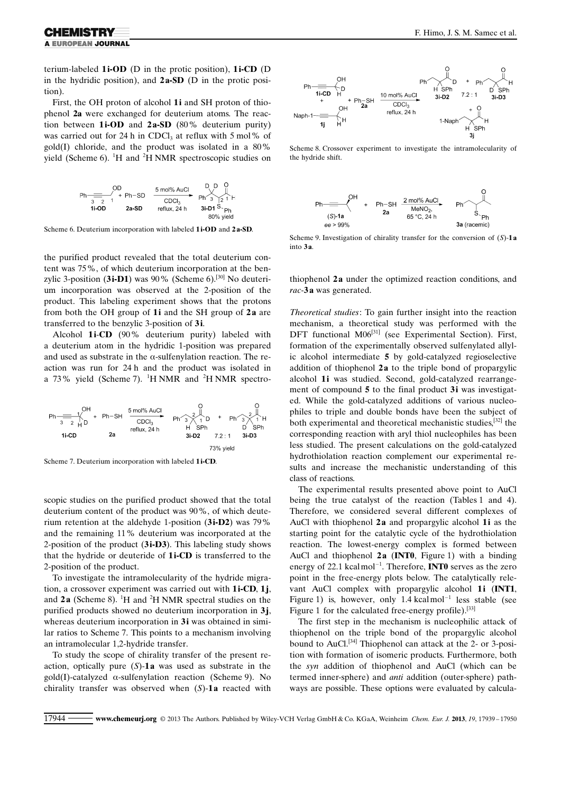terium-labeled 1i-OD (D in the protic position), 1i-CD (D in the hydridic position), and 2 a-SD (D in the protic position).

First, the OH proton of alcohol 1i and SH proton of thiophenol 2a were exchanged for deuterium atoms. The reaction between  $1i$ -OD and  $2a$ -SD (80% deuterium purity) was carried out for 24 h in CDCl<sub>3</sub> at reflux with 5 mol% of gold(I) chloride, and the product was isolated in a 80% yield (Scheme 6). <sup>1</sup>H and <sup>2</sup>H NMR spectroscopic studies on



Scheme 6. Deuterium incorporation with labeled 1i-OD and 2 a-SD.

the purified product revealed that the total deuterium content was 75%, of which deuterium incorporation at the benzylic 3-position (3i-D1) was 90% (Scheme 6).<sup>[30]</sup> No deuterium incorporation was observed at the 2-position of the product. This labeling experiment shows that the protons from both the OH group of  $1i$  and the SH group of  $2a$  are transferred to the benzylic 3-position of 3i.

Alcohol 1i-CD (90% deuterium purity) labeled with a deuterium atom in the hydridic 1-position was prepared and used as substrate in the  $\alpha$ -sulfenvlation reaction. The reaction was run for 24 h and the product was isolated in a 73% yield (Scheme 7).  ${}^{1}$ H NMR and  ${}^{2}$ H NMR spectro-



Scheme 7. Deuterium incorporation with labeled 1i-CD.

scopic studies on the purified product showed that the total deuterium content of the product was 90%, of which deuterium retention at the aldehyde 1-position (3i-D2) was 79% and the remaining 11% deuterium was incorporated at the 2-position of the product (3i-D3). This labeling study shows that the hydride or deuteride of 1i-CD is transferred to the 2-position of the product.

To investigate the intramolecularity of the hydride migration, a crossover experiment was carried out with  $1i$ -CD,  $1j$ , and  $2a$  (Scheme 8). <sup>1</sup>H and <sup>2</sup>H NMR spectral studies on the purified products showed no deuterium incorporation in  $3<sub>i</sub>$ , whereas deuterium incorporation in 3i was obtained in similar ratios to Scheme 7. This points to a mechanism involving an intramolecular 1,2-hydride transfer.

To study the scope of chirality transfer of the present reaction, optically pure  $(S)$ -1a was used as substrate in the gold(I)-catalyzed  $\alpha$ -sulfenylation reaction (Scheme 9). No chirality transfer was observed when  $(S)$ -1a reacted with



Scheme 8. Crossover experiment to investigate the intramolecularity of the hydride shift.



Scheme 9. Investigation of chirality transfer for the conversion of  $(S)$ -1a into 3a

thiophenol 2a under the optimized reaction conditions, and rac-3a was generated.

Theoretical studies: To gain further insight into the reaction mechanism, a theoretical study was performed with the DFT functional M06<sup>[31]</sup> (see Experimental Section). First, formation of the experimentally observed sulfenylated allylic alcohol intermediate 5 by gold-catalyzed regioselective addition of thiophenol  $2a$  to the triple bond of propargylic alcohol 1i was studied. Second, gold-catalyzed rearrangement of compound 5 to the final product 3i was investigated. While the gold-catalyzed additions of various nucleophiles to triple and double bonds have been the subject of both experimental and theoretical mechanistic studies,<sup>[32]</sup> the corresponding reaction with aryl thiol nucleophiles has been less studied. The present calculations on the gold-catalyzed hydrothiolation reaction complement our experimental results and increase the mechanistic understanding of this class of reactions.

The experimental results presented above point to AuCl being the true catalyst of the reaction (Tables 1 and 4). Therefore, we considered several different complexes of AuCl with thiophenol  $2a$  and propargylic alcohol  $1i$  as the starting point for the catalytic cycle of the hydrothiolation reaction. The lowest-energy complex is formed between AuCl and thiophenol  $2a$  (INT0, Figure 1) with a binding energy of 22.1 kcalmol<sup>-1</sup>. Therefore, **INT0** serves as the zero point in the free-energy plots below. The catalytically relevant AuCl complex with propargylic alcohol 1i (INT1, Figure 1) is, however, only  $1.4 \text{ kcalmol}^{-1}$  less stable (see Figure 1 for the calculated free-energy profile).<sup>[33]</sup>

The first step in the mechanism is nucleophilic attack of thiophenol on the triple bond of the propargylic alcohol bound to AuCl.<sup>[34]</sup> Thiophenol can attack at the 2- or 3-position with formation of isomeric products. Furthermore, both the syn addition of thiophenol and AuCl (which can be termed inner-sphere) and anti addition (outer-sphere) pathways are possible. These options were evaluated by calcula-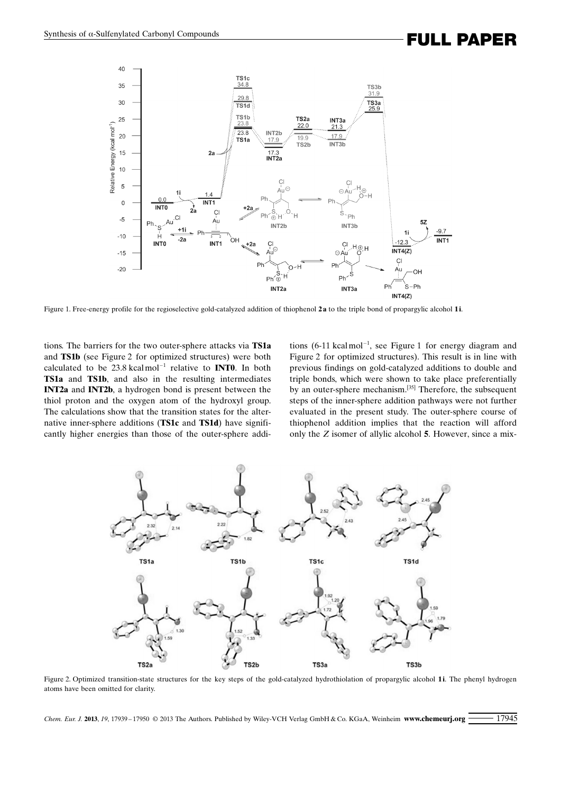### Synthesis of a-Sulfenylated Carbonyl Compounds<br> **FULL PAPER**



Figure 1. Free-energy profile for the regioselective gold-catalyzed addition of thiophenol 2 a to the triple bond of propargylic alcohol 1i.

tions. The barriers for the two outer-sphere attacks via TS1a and TS1b (see Figure 2 for optimized structures) were both calculated to be  $23.8 \text{ kcalmol}^{-1}$  relative to **INT0**. In both TS1a and TS1b, and also in the resulting intermediates INT2a and INT2b, a hydrogen bond is present between the thiol proton and the oxygen atom of the hydroxyl group. The calculations show that the transition states for the alternative inner-sphere additions (TS1c and TS1d) have significantly higher energies than those of the outer-sphere addi-

tions  $(6-11 \text{ kcalmol}^{-1})$ , see Figure 1 for energy diagram and Figure 2 for optimized structures). This result is in line with previous findings on gold-catalyzed additions to double and triple bonds, which were shown to take place preferentially by an outer-sphere mechanism.[35] Therefore, the subsequent steps of the inner-sphere addition pathways were not further evaluated in the present study. The outer-sphere course of thiophenol addition implies that the reaction will afford only the Z isomer of allylic alcohol 5. However, since a mix-



Figure 2. Optimized transition-state structures for the key steps of the gold-catalyzed hydrothiolation of propargylic alcohol 1i. The phenyl hydrogen atoms have been omitted for clarity.

Chem. Eur. J. 2013, 19, 17939-17950 © 2013 The Authors. Published by Wiley-VCH Verlag GmbH & Co. KGaA, Weinheim <www.chemeurj.org> <sup>17945</sup>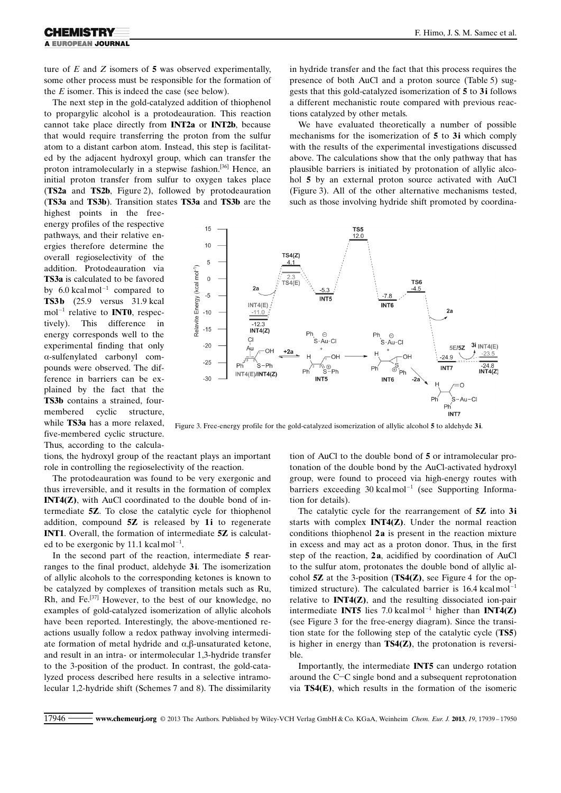ture of  $E$  and  $Z$  isomers of  $5$  was observed experimentally, some other process must be responsible for the formation of the  $E$  isomer. This is indeed the case (see below).

The next step in the gold-catalyzed addition of thiophenol to propargylic alcohol is a protodeauration. This reaction cannot take place directly from INT2a or INT2b, because that would require transferring the proton from the sulfur atom to a distant carbon atom. Instead, this step is facilitated by the adjacent hydroxyl group, which can transfer the proton intramolecularly in a stepwise fashion.<sup>[36]</sup> Hence, an initial proton transfer from sulfur to oxygen takes place (TS2a and TS2b, Figure 2), followed by protodeauration (TS3a and TS3b). Transition states TS3a and TS3b are the

highest points in the freeenergy profiles of the respective pathways, and their relative energies therefore determine the overall regioselectivity of the addition. Protodeauration via TS3a is calculated to be favored by  $6.0 \text{ kcal mol}^{-1}$  compared to TS3b (25.9 versus 31.9 kcal  $mol^{-1}$  relative to **INT0**, respectively). This difference in energy corresponds well to the experimental finding that only  $\alpha$ -sulfenvlated carbonyl compounds were observed. The difference in barriers can be explained by the fact that the TS3b contains a strained, fourmembered cyclic structure, while **TS3a** has a more relaxed, five-membered cyclic structure. Thus, according to the calculagests that this gold-catalyzed isomerization of 5 to 3i follows a different mechanistic route compared with previous reactions catalyzed by other metals. We have evaluated theoretically a number of possible

mechanisms for the isomerization of 5 to 3i which comply with the results of the experimental investigations discussed above. The calculations show that the only pathway that has plausible barriers is initiated by protonation of allylic alcohol 5 by an external proton source activated with AuCl (Figure 3). All of the other alternative mechanisms tested, such as those involving hydride shift promoted by coordina-

in hydride transfer and the fact that this process requires the presence of both AuCl and a proton source (Table 5) sug-



Figure 3. Free-energy profile for the gold-catalyzed isomerization of allylic alcohol 5 to aldehyde 3i.

tions, the hydroxyl group of the reactant plays an important role in controlling the regioselectivity of the reaction.

The protodeauration was found to be very exergonic and thus irreversible, and it results in the formation of complex INT4(Z), with AuCl coordinated to the double bond of intermediate 5Z. To close the catalytic cycle for thiophenol addition, compound 5Z is released by 1i to regenerate INT1. Overall, the formation of intermediate 5Z is calculated to be exergonic by 11.1 kcalmol<sup>-1</sup>.

In the second part of the reaction, intermediate 5 rearranges to the final product, aldehyde 3i. The isomerization of allylic alcohols to the corresponding ketones is known to be catalyzed by complexes of transition metals such as Ru, Rh, and Fe.<sup>[37]</sup> However, to the best of our knowledge, no examples of gold-catalyzed isomerization of allylic alcohols have been reported. Interestingly, the above-mentioned reactions usually follow a redox pathway involving intermediate formation of metal hydride and  $\alpha$ ,  $\beta$ -unsaturated ketone, and result in an intra- or intermolecular 1,3-hydride transfer to the 3-position of the product. In contrast, the gold-catalyzed process described here results in a selective intramolecular 1,2-hydride shift (Schemes 7 and 8). The dissimilarity tion of AuCl to the double bond of 5 or intramolecular protonation of the double bond by the AuCl-activated hydroxyl group, were found to proceed via high-energy routes with barriers exceeding  $30 \text{ kcal mol}^{-1}$  (see Supporting Information for details).

The catalytic cycle for the rearrangement of 5Z into 3i starts with complex INT4(Z). Under the normal reaction conditions thiophenol 2a is present in the reaction mixture in excess and may act as a proton donor. Thus, in the first step of the reaction, 2a, acidified by coordination of AuCl to the sulfur atom, protonates the double bond of allylic alcohol  $5Z$  at the 3-position (TS4 $(Z)$ ), see Figure 4 for the optimized structure). The calculated barrier is  $16.4 \text{ kcal mol}^{-1}$ relative to INT4(Z), and the resulting dissociated ion-pair intermediate **INT5** lies 7.0 kcalmol<sup>-1</sup> higher than **INT4(Z)** (see Figure 3 for the free-energy diagram). Since the transition state for the following step of the catalytic cycle (TS5) is higher in energy than  $TS4(Z)$ , the protonation is reversible.

Importantly, the intermediate INT5 can undergo rotation around the C-C single bond and a subsequent reprotonation via TS4(E), which results in the formation of the isomeric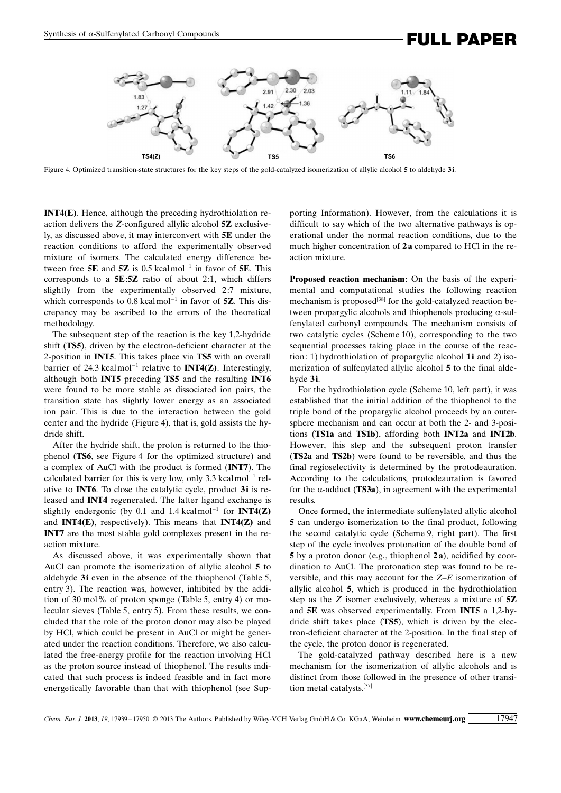## Synthesis of a-Sulfenylated Carbonyl Compounds<br>
FULL PAPER



Figure 4. Optimized transition-state structures for the key steps of the gold-catalyzed isomerization of allylic alcohol 5 to aldehyde 3i.

INT4(E). Hence, although the preceding hydrothiolation reaction delivers the Z-configured allylic alcohol 5Z exclusively, as discussed above, it may interconvert with 5E under the reaction conditions to afford the experimentally observed mixture of isomers. The calculated energy difference between free 5E and 5Z is 0.5 kcalmol<sup>-1</sup> in favor of 5E. This corresponds to a 5E:5Z ratio of about 2:1, which differs slightly from the experimentally observed 2:7 mixture, which corresponds to 0.8 kcalmol<sup> $-1$ </sup> in favor of **5Z**. This discrepancy may be ascribed to the errors of the theoretical methodology.

The subsequent step of the reaction is the key 1,2-hydride shift (TS5), driven by the electron-deficient character at the 2-position in INT5. This takes place via TS5 with an overall barrier of 24.3 kcalmol<sup>-1</sup> relative to **INT4(Z)**. Interestingly, although both INT5 preceding TS5 and the resulting INT6 were found to be more stable as dissociated ion pairs, the transition state has slightly lower energy as an associated ion pair. This is due to the interaction between the gold center and the hydride (Figure 4), that is, gold assists the hydride shift.

After the hydride shift, the proton is returned to the thiophenol (TS6, see Figure 4 for the optimized structure) and a complex of AuCl with the product is formed (INT7). The calculated barrier for this is very low, only 3.3 kcalmol<sup>-1</sup> relative to INT6. To close the catalytic cycle, product 3i is released and INT4 regenerated. The latter ligand exchange is slightly endergonic (by 0.1 and 1.4 kcalmol<sup>-1</sup> for **INT4(Z)** and **INT4(E)**, respectively). This means that **INT4(Z)** and INT7 are the most stable gold complexes present in the reaction mixture.

As discussed above, it was experimentally shown that AuCl can promote the isomerization of allylic alcohol 5 to aldehyde 3i even in the absence of the thiophenol (Table 5, entry 3). The reaction was, however, inhibited by the addition of 30 mol% of proton sponge (Table 5, entry 4) or molecular sieves (Table 5, entry 5). From these results, we concluded that the role of the proton donor may also be played by HCl, which could be present in AuCl or might be generated under the reaction conditions. Therefore, we also calculated the free-energy profile for the reaction involving HCl as the proton source instead of thiophenol. The results indicated that such process is indeed feasible and in fact more energetically favorable than that with thiophenol (see Supporting Information). However, from the calculations it is difficult to say which of the two alternative pathways is operational under the normal reaction conditions, due to the much higher concentration of 2a compared to HCl in the reaction mixture.

Proposed reaction mechanism: On the basis of the experimental and computational studies the following reaction mechanism is proposed<sup>[38]</sup> for the gold-catalyzed reaction between propargylic alcohols and thiophenols producing a-sulfenylated carbonyl compounds. The mechanism consists of two catalytic cycles (Scheme 10), corresponding to the two sequential processes taking place in the course of the reaction: 1) hydrothiolation of propargylic alcohol 1i and 2) isomerization of sulfenylated allylic alcohol 5 to the final aldehyde 3i.

For the hydrothiolation cycle (Scheme 10, left part), it was established that the initial addition of the thiophenol to the triple bond of the propargylic alcohol proceeds by an outersphere mechanism and can occur at both the 2- and 3-positions (TS1a and TS1b), affording both INT2a and INT2b. However, this step and the subsequent proton transfer (TS2a and TS2b) were found to be reversible, and thus the final regioselectivity is determined by the protodeauration. According to the calculations, protodeauration is favored for the  $\alpha$ -adduct (TS3a), in agreement with the experimental results.

Once formed, the intermediate sulfenylated allylic alcohol 5 can undergo isomerization to the final product, following the second catalytic cycle (Scheme 9, right part). The first step of the cycle involves protonation of the double bond of 5 by a proton donor (e.g., thiophenol 2a), acidified by coordination to AuCl. The protonation step was found to be reversible, and this may account for the Z–E isomerization of allylic alcohol 5, which is produced in the hydrothiolation step as the  $Z$  isomer exclusively, whereas a mixture of  $5Z$ and 5E was observed experimentally. From INT5 a 1,2-hydride shift takes place (TS5), which is driven by the electron-deficient character at the 2-position. In the final step of the cycle, the proton donor is regenerated.

The gold-catalyzed pathway described here is a new mechanism for the isomerization of allylic alcohols and is distinct from those followed in the presence of other transition metal catalysts.[37]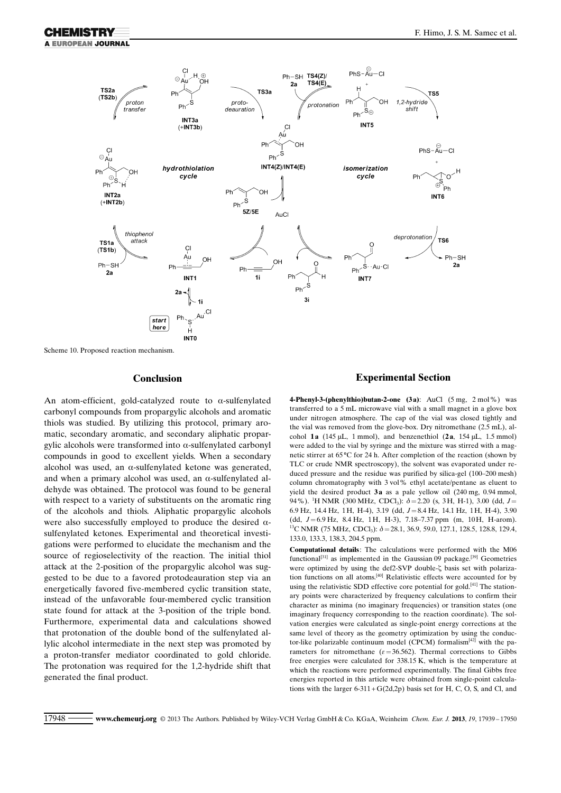

Scheme 10. Proposed reaction mechanism.

### Conclusion

An atom-efficient, gold-catalyzed route to  $\alpha$ -sulfenylated carbonyl compounds from propargylic alcohols and aromatic thiols was studied. By utilizing this protocol, primary aromatic, secondary aromatic, and secondary aliphatic propargylic alcohols were transformed into  $\alpha$ -sulfenylated carbonyl compounds in good to excellent yields. When a secondary alcohol was used, an  $\alpha$ -sulfenylated ketone was generated, and when a primary alcohol was used, an  $\alpha$ -sulfenylated aldehyde was obtained. The protocol was found to be general with respect to a variety of substituents on the aromatic ring of the alcohols and thiols. Aliphatic propargylic alcohols were also successfully employed to produce the desired  $\alpha$ sulfenylated ketones. Experimental and theoretical investigations were performed to elucidate the mechanism and the source of regioselectivity of the reaction. The initial thiol attack at the 2-position of the propargylic alcohol was suggested to be due to a favored protodeauration step via an energetically favored five-membered cyclic transition state, instead of the unfavorable four-membered cyclic transition state found for attack at the 3-position of the triple bond. Furthermore, experimental data and calculations showed that protonation of the double bond of the sulfenylated allylic alcohol intermediate in the next step was promoted by a proton-transfer mediator coordinated to gold chloride. The protonation was required for the 1,2-hydride shift that generated the final product.

### Experimental Section

4-Phenyl-3-(phenylthio)butan-2-one  $(3a)$ : AuCl  $(5 \text{ mg}, 2 \text{ mol\%})$  was transferred to a 5 mL microwave vial with a small magnet in a glove box under nitrogen atmosphere. The cap of the vial was closed tightly and the vial was removed from the glove-box. Dry nitromethane (2.5 mL), alcohol 1a (145  $\mu$ L, 1 mmol), and benzenethiol (2a, 154  $\mu$ L, 1.5 mmol) were added to the vial by syringe and the mixture was stirred with a magnetic stirrer at  $65^{\circ}$ C for 24 h. After completion of the reaction (shown by TLC or crude NMR spectroscopy), the solvent was evaporated under reduced pressure and the residue was purified by silica-gel (100–200 mesh) column chromatography with 3 vol% ethyl acetate/pentane as eluent to yield the desired product  $3a$  as a pale yellow oil  $(240 \text{ mg}, 0.94 \text{ mmol})$ , 94%). <sup>1</sup>H NMR (300 MHz, CDCl<sub>3</sub>):  $\delta$  = 2.20 (s, 3H, H-1), 3.00 (dd, J = 6.9 Hz, 14.4 Hz, 1H, H-4), 3.19 (dd, J=8.4 Hz, 14.1 Hz, 1H, H-4), 3.90 (dd, J=6.9 Hz, 8.4 Hz, 1H, H-3), 7.18–7.37 ppm (m, 10H, H-arom). <sup>13</sup>C NMR (75 MHz, CDCl<sub>3</sub>):  $\delta$  = 28.1, 36.9, 59.0, 127.1, 128.5, 128.8, 129.4, 133.0, 133.3, 138.3, 204.5 ppm.

Computational details: The calculations were performed with the M06 functional<sup>[31]</sup> as implemented in the Gaussian 09 package.<sup>[39]</sup> Geometries were optimized by using the def2-SVP double- $\zeta$  basis set with polarization functions on all atoms.[40] Relativistic effects were accounted for by using the relativistic SDD effective core potential for gold.<sup>[41]</sup> The stationary points were characterized by frequency calculations to confirm their character as minima (no imaginary frequencies) or transition states (one imaginary frequency corresponding to the reaction coordinate). The solvation energies were calculated as single-point energy corrections at the same level of theory as the geometry optimization by using the conductor-like polarizable continuum model (CPCM) formalism<sup>[42]</sup> with the parameters for nitromethane ( $\varepsilon$ =36.562). Thermal corrections to Gibbs free energies were calculated for 338.15 K, which is the temperature at which the reactions were performed experimentally. The final Gibbs free energies reported in this article were obtained from single-point calculations with the larger  $6-311+G(2d,2p)$  basis set for H, C, O, S, and Cl, and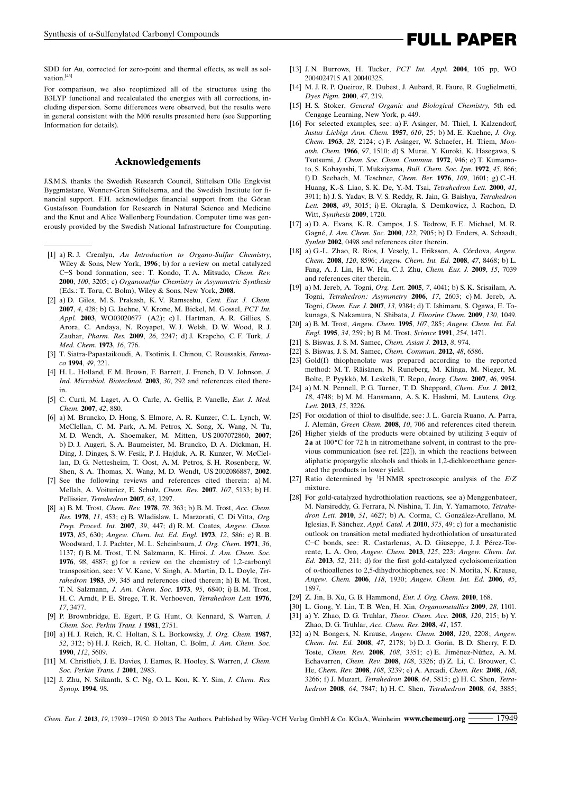SDD for Au, corrected for zero-point and thermal effects, as well as solvation<sup>[43]</sup>

For comparison, we also reoptimized all of the structures using the B3LYP functional and recalculated the energies with all corrections, including dispersion. Some differences were observed, but the results were in general consistent with the M06 results presented here (see Supporting Information for details).

#### Acknowledgements

J.S.M.S. thanks the Swedish Research Council, Stiftelsen Olle Engkvist Byggmästare, Wenner-Gren Stiftelserna, and the Swedish Institute for financial support. F.H. acknowledges financial support from the Göran Gustafsson Foundation for Research in Natural Science and Medicine and the Knut and Alice Wallenberg Foundation. Computer time was generously provided by the Swedish National Infrastructure for Computing.

- [1] a) R. J. Cremlyn, An Introduction to Organo-Sulfur Chemistry, Wiley & Sons, New York, 1996; b) for a review on metal catalyzed C-S bond formation, see: T. Kondo, T. A. Mitsudo, [Chem. Rev.](http://dx.doi.org/10.1021/cr9902749) 2000, 100[, 3205](http://dx.doi.org/10.1021/cr9902749); c) Organosulfur Chemistry in Asymmetric Synthesis (Eds.: T. Toru, C. Bolm), Wiley & Sons, New York, 2008.
- [2] a) D. Giles, M. S. Prakash, K. V. Ramseshu, Cent. Eur. J. Chem. 2007, 4, 428; b) G. Jaehne, V. Krone, M. Bickel, M. Gossel, PCT Int. Appl. 2003, WO03020677 (A2); c) I. Hartman, A. R. Gillies, S. Arora, C. Andaya, N. Royapet, W. J. Welsh, D. W. Wood, R. J. Zauhar, [Pharm. Res.](http://dx.doi.org/10.1007/s11095-009-9941-z) 2009, 26, 2247; d) J. Krapcho, C. F. Turk, [J.](http://dx.doi.org/10.1021/jm00265a007) [Med. Chem.](http://dx.doi.org/10.1021/jm00265a007) 1973, 16, 776.
- [3] T. Siatra-Papastaikoudi, A. Tsotinis, I. Chinou, C. Roussakis, Farmaco 1994, 49, 221.
- [4] H. L. Holland, F. M. Brown, F. Barrett, J. French, D. V. Johnson, [J.](http://dx.doi.org/10.1007/s10295-003-0050-4) [Ind. Microbiol. Biotechnol.](http://dx.doi.org/10.1007/s10295-003-0050-4) 2003, 30, 292 and references cited therein.
- [5] C. Curti, M. Laget, A. O. Carle, A. Gellis, P. Vanelle, [Eur. J. Med.](http://dx.doi.org/10.1016/j.ejmech.2006.12.015) [Chem.](http://dx.doi.org/10.1016/j.ejmech.2006.12.015) 2007, 42, 880.
- [6] a) M. Bruncko, D. Hong, S. Elmore, A. R. Kunzer, C. L. Lynch, W. McClellan, C. M. Park, A. M. Petros, X. Song, X. Wang, N. Tu, M. D. Wendt, A. Shoemaker, M. Mitten, US 2007072860, 2007; b) D. J. Augeri, S. A. Baumeister, M. Bruncko, D. A. Dickman, H. Ding, J. Dinges, S. W. Fesik, P. J. Hajduk, A. R. Kunzer, W. McClellan, D. G. Nettesheim, T. Oost, A. M. Petros, S. H. Rosenberg, W. Shen, S. A. Thomas, X. Wang, M. D. Wendt, US 2002086887, 2002.
- [7] See the following reviews and references cited therein: a) M. Mellah, A. Voituriez, E. Schulz, [Chem. Rev.](http://dx.doi.org/10.1021/cr068440h) 2007, 107, 5133; b) H. Pellissier, [Tetrahedron](http://dx.doi.org/10.1016/j.tet.2006.09.068) 2007, 63, 1297.
- [8] a) B. M. Trost, [Chem. Rev.](http://dx.doi.org/10.1021/cr60314a002) 1978, 78, 363; b) B. M. Trost, [Acc. Chem.](http://dx.doi.org/10.1021/ar50132a004) Res. 1978, 11[, 453](http://dx.doi.org/10.1021/ar50132a004); c) B. Wladislaw, L. Marzorati, C. Di Vitta, [Org.](http://dx.doi.org/10.1080/00304940709458600) [Prep. Proced. Int.](http://dx.doi.org/10.1080/00304940709458600) 2007, 39, 447; d) R. M. Coates, [Angew. Chem.](http://dx.doi.org/10.1002/ange.19730851415) 1973, 85[, 630](http://dx.doi.org/10.1002/ange.19730851415); [Angew. Chem. Int. Ed. Engl.](http://dx.doi.org/10.1002/anie.197305861) 1973, 12, 586; e) R. B. Woodward, I. J. Pachter, M. L. Scheinbaum, J. Org. Chem. 1971, 36, 1137; f) B. M. Trost, T. N. Salzmann, K. Hiroi, [J. Am. Chem. Soc.](http://dx.doi.org/10.1021/ja00432a034) 1976, 98[, 4887](http://dx.doi.org/10.1021/ja00432a034); g) for a review on the chemistry of 1,2-carbonyl transposition, see: V. V. Kane, V. Singh, A. Martin, D. L. Doyle, [Tet](http://dx.doi.org/10.1016/S0040-4020(01)88538-0)[rahedron](http://dx.doi.org/10.1016/S0040-4020(01)88538-0) 1983, 39, 345 and references cited therein; h) B. M. Trost, T. N. Salzmann, [J. Am. Chem. Soc.](http://dx.doi.org/10.1021/ja00801a058) 1973, 95, 6840; i) B. M. Trost, H. C. Arndt, P. E. Strege, T. R. Verhoeven, [Tetrahedron Lett.](http://dx.doi.org/10.1016/S0040-4039(00)71334-7) 1976, 17[, 3477.](http://dx.doi.org/10.1016/S0040-4039(00)71334-7)
- [9] P. Brownbridge, E. Egert, P. G. Hunt, O. Kennard, S. Warren, [J.](http://dx.doi.org/10.1039/p19810002751) [Chem. Soc. Perkin Trans. 1](http://dx.doi.org/10.1039/p19810002751) 1981, 2751.
- [10] a) H. J. Reich, R. C. Holtan, S. L. Borkowsky, [J. Org. Chem.](http://dx.doi.org/10.1021/jo00378a038) 1987, 52[, 312](http://dx.doi.org/10.1021/jo00378a038); b) H. J. Reich, R. C. Holtan, C. Bolm, [J. Am. Chem. Soc.](http://dx.doi.org/10.1021/ja00170a026) 1990, 112[, 5609](http://dx.doi.org/10.1021/ja00170a026).
- [11] M. Christlieb, J. E. Davies, J. Eames, R. Hooley, S. Warren, [J. Chem.](http://dx.doi.org/10.1039/b106851b) [Soc. Perkin Trans. 1](http://dx.doi.org/10.1039/b106851b) 2001, 2983.
- [12] J. Zhu, N. Srikanth, S. C. Ng, O. L. Kon, K. Y. Sim, J. Chem. Res. Synop. 1994, 98.
- [13] J. N. Burrows, H. Tucker, *PCT Int. Appl.* **2004**, 105 pp, WO 2004024715 A1 20040325.
- [14] M. J. R. P. Queiroz, R. Dubest, J. Aubard, R. Faure, R. Guglielmetti, [Dyes Pigm.](http://dx.doi.org/10.1016/S0143-7208(00)00083-8) 2000, 47, 219.
- [15] H. S. Stoker, General Organic and Biological Chemistry, 5th ed. Cengage Learning, New York, p. 449.
- [16] For selected examples, see: a) F. Asinger, M. Thiel, I. Kalzendorf, [Justus Liebigs Ann. Chem.](http://dx.doi.org/10.1002/jlac.19576100104) 1957, 610, 25; b) M. E. Kuehne, [J. Org.](http://dx.doi.org/10.1021/jo01043a045) [Chem.](http://dx.doi.org/10.1021/jo01043a045) 1963, 28, 2124; c) F. Asinger, W. Schaefer, H. Triem, [Mon](http://dx.doi.org/10.1007/BF00902605)[atsh. Chem.](http://dx.doi.org/10.1007/BF00902605) 1966, 97, 1510; d) S. Murai, Y. Kuroki, K. Hasegawa, S. Tsutsumi, [J. Chem. Soc. Chem. Commun.](http://dx.doi.org/10.1039/c39720000946) 1972, 946; e) T. Kumamoto, S. Kobayashi, T. Mukaiyama, [Bull. Chem. Soc. Jpn.](http://dx.doi.org/10.1246/bcsj.45.866) 1972, 45, 866; f) D. Seebach, M. Teschner, [Chem. Ber.](http://dx.doi.org/10.1002/cber.19761090502) 1976, 109, 1601; g) C.-H. Huang, K.-S. Liao, S. K. De, Y.-M. Tsai, [Tetrahedron Lett.](http://dx.doi.org/10.1016/S0040-4039(00)00515-3) 2000, 41, [3911;](http://dx.doi.org/10.1016/S0040-4039(00)00515-3) h) J. S. Yadav, B. V. S. Reddy, R. Jain, G. Baishya, [Tetrahedron](http://dx.doi.org/10.1016/j.tetlet.2008.02.136) Lett. 2008, 49[, 3015](http://dx.doi.org/10.1016/j.tetlet.2008.02.136); i) E. Okragla, S. Demkowicz, J. Rachon, D. Witt, Synthesis 2009, 1720.
- [17] a) D. A. Evans, K. R. Campos, J. S. Tedrow, F. E. Michael, M. R. Gagné, [J. Am. Chem. Soc.](http://dx.doi.org/10.1021/ja992543i) 2000, 122, 7905; b) D. Enders, A. Schaadt, [Synlett](http://dx.doi.org/10.1055/s-2002-20477) 2002, 0498 and references citer therein.
- [18] a) G.-L. Zhao, R. Rios, J. Vesely, L. Eriksson, A. Córdova, [Angew.](http://dx.doi.org/10.1002/ange.200802335) [Chem.](http://dx.doi.org/10.1002/ange.200802335) 2008, 120, 8596; [Angew. Chem. Int. Ed.](http://dx.doi.org/10.1002/anie.200802335) 2008, 47, 8468; b) L. Fang, A. J. Lin, H. W. Hu, C. J. Zhu, [Chem. Eur. J.](http://dx.doi.org/10.1002/chem.200901099) 2009, 15, 7039 and references citer therein.
- [19] a) M. Jereb, A. Togni, [Org. Lett.](http://dx.doi.org/10.1021/ol051564g) 2005, 7, 4041; b) S. K. Srisailam, A. Togni, [Tetrahedron: Asymmetry](http://dx.doi.org/10.1016/j.tetasy.2006.10.009) 2006, 17, 2603; c) M. Jereb, A. Togni, [Chem. Eur. J.](http://dx.doi.org/10.1002/chem.200700920) 2007, 13, 9384; d) T. Ishimaru, S. Ogawa, E. Tokunaga, S. Nakamura, N. Shibata, [J. Fluorine Chem.](http://dx.doi.org/10.1016/j.jfluchem.2009.08.004) 2009, 130, 1049.
- [20] a) B. M. Trost, [Angew. Chem.](http://dx.doi.org/10.1002/ange.19951070304) 1995, 107, 285; [Angew. Chem. Int. Ed.](http://dx.doi.org/10.1002/anie.199502591) [Engl.](http://dx.doi.org/10.1002/anie.199502591) 1995, 34, 259; b) B. M. Trost, [Science](http://dx.doi.org/10.1126/science.1962206) 1991, 254, 1471.
- [21] S. Biswas, J. S. M. Samec, [Chem. Asian J.](http://dx.doi.org/10.1002/asia.201201178) 2013, 8, 974.
- [22] S. Biswas, J. S. M. Samec, [Chem. Commun.](http://dx.doi.org/10.1039/c2cc32042h) 2012, 48, 6586.
- [23] Gold(I) thiophenolate was prepared according to the reported method: M. T. Räisänen, N. Runeberg, M. Klinga, M. Nieger, M. Bolte, P. Pyykkö, M. Leskelä, T. Repo, *[Inorg. Chem.](http://dx.doi.org/10.1021/ic700453t)* 2007, 46, 9954.
- [24] a) M. N. Pennell, P. G. Turner, T. D. Sheppard, [Chem. Eur. J.](http://dx.doi.org/10.1002/chem.201102830) 2012, 18[, 4748](http://dx.doi.org/10.1002/chem.201102830); b) M. M. Hansmann, A. S. K. Hashmi, M. Lautens, [Org.](http://dx.doi.org/10.1021/ol4011739) Lett. 2013, 15[, 3226](http://dx.doi.org/10.1021/ol4011739).
- [25] For oxidation of thiol to disulfide, see: J. L. García Ruano, A. Parra, J. Alemán, [Green Chem.](http://dx.doi.org/10.1039/b800705e) 2008, 10, 706 and references cited therein.
- [26] Higher yields of the products were obtained by utilizing 3 equiv of **2a** at 100 $^{\circ}$ C for 72 h in nitromethane solvent, in contrast to the previous communication (see ref. [22]), in which the reactions between aliphatic propargylic alcohols and thiols in 1,2-dichloroethane generated the products in lower yield.
- [27] Ratio determined by <sup>1</sup>H NMR spectroscopic analysis of the  $E/Z$ mixture.
- [28] For gold-catalyzed hydrothiolation reactions, see a) Menggenbateer, M. Narsireddy, G. Ferrara, N. Nishina, T. Jin, Y. Yamamoto, Tetrahedron Lett. 2010, 51, 4627; b) A. Corma, C. González-Arellano, M. Iglesias, F. Sánchez, [Appl. Catal. A](http://dx.doi.org/10.1016/j.apcata.2009.12.016) 2010, 375, 49; c) for a mechanistic outlook on transition metal mediated hydrothiolation of unsaturated C-C bonds, see: R. Castarlenas, A. D. Giuseppe, J. J. Pérez-Torrente, L. A. Oro, [Angew. Chem.](http://dx.doi.org/10.1002/ange.201205468) 2013, 125, 223; [Angew. Chem. Int.](http://dx.doi.org/10.1002/anie.201205468) Ed. 2013, 52[, 211;](http://dx.doi.org/10.1002/anie.201205468) d) for the first gold-catalyzed cycloisomerization of  $\alpha$ -thioallenes to 2,5-dihydrothiophenes, see: N. Morita, N. Krause, [Angew. Chem.](http://dx.doi.org/10.1002/ange.200503846) 2006, 118, 1930; [Angew. Chem. Int. Ed.](http://dx.doi.org/10.1002/anie.200503846) 2006, 45, [1897.](http://dx.doi.org/10.1002/anie.200503846)
- [29] Z. Jin, B. Xu, G. B. Hammond, [Eur. J. Org. Chem.](http://dx.doi.org/10.1002/ejoc.200901101) 2010, 168.
- [30] L. Gong, Y. Lin, T. B. Wen, H. Xin, [Organometallics](http://dx.doi.org/10.1021/om800907v) 2009, 28, 1101. [31] a) Y. Zhao, D. G. Truhlar, *[Theor. Chem. Acc.](http://dx.doi.org/10.1007/s00214-007-0310-x)* **2008**, 120, 215; b) Y. Zhao, D. G. Truhlar, [Acc. Chem. Res.](http://dx.doi.org/10.1021/ar700111a) 2008, 41, 157.
- [32] a) N. Bongers, N. Krause, [Angew. Chem.](http://dx.doi.org/10.1002/ange.200704729) 2008, 120, 2208; [Angew.](http://dx.doi.org/10.1002/anie.200704729) [Chem. Int. Ed.](http://dx.doi.org/10.1002/anie.200704729) 2008, 47, 2178; b) D. J. Gorin, B. D. Sherry, F. D. Toste, [Chem. Rev.](http://dx.doi.org/10.1021/cr068430g) 2008, 108, 3351; c) E. Jiménez-Núñez, A. M. Echavarren, Chem. Rev. 2008, 108, 3326; d) Z. Li, C. Brouwer, C. He, [Chem. Rev.](http://dx.doi.org/10.1021/cr068434l) 2008, 108, 3239; e) A. Arcadi, [Chem. Rev.](http://dx.doi.org/10.1021/cr068435d) 2008, 108, [3266](http://dx.doi.org/10.1021/cr068435d); f) J. Muzart, [Tetrahedron](http://dx.doi.org/10.1016/j.tet.2008.04.018) 2008, 64, 5815; g) H. C. Shen, [Tetra](http://dx.doi.org/10.1016/j.tet.2008.05.082)[hedron](http://dx.doi.org/10.1016/j.tet.2008.05.082) 2008, 64, 7847; h) H. C. Shen, [Tetrahedron](http://dx.doi.org/10.1016/j.tet.2008.01.081) 2008, 64, 3885;